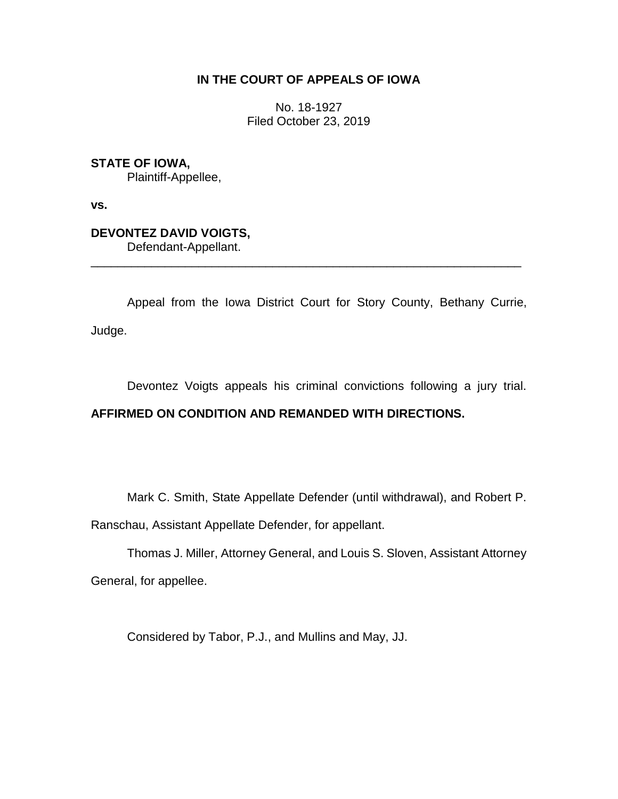## **IN THE COURT OF APPEALS OF IOWA**

No. 18-1927 Filed October 23, 2019

**STATE OF IOWA,**

Plaintiff-Appellee,

**vs.**

**DEVONTEZ DAVID VOIGTS,**

Defendant-Appellant.

Appeal from the Iowa District Court for Story County, Bethany Currie, Judge.

\_\_\_\_\_\_\_\_\_\_\_\_\_\_\_\_\_\_\_\_\_\_\_\_\_\_\_\_\_\_\_\_\_\_\_\_\_\_\_\_\_\_\_\_\_\_\_\_\_\_\_\_\_\_\_\_\_\_\_\_\_\_\_\_

Devontez Voigts appeals his criminal convictions following a jury trial.

## **AFFIRMED ON CONDITION AND REMANDED WITH DIRECTIONS.**

Mark C. Smith, State Appellate Defender (until withdrawal), and Robert P.

Ranschau, Assistant Appellate Defender, for appellant.

Thomas J. Miller, Attorney General, and Louis S. Sloven, Assistant Attorney General, for appellee.

Considered by Tabor, P.J., and Mullins and May, JJ.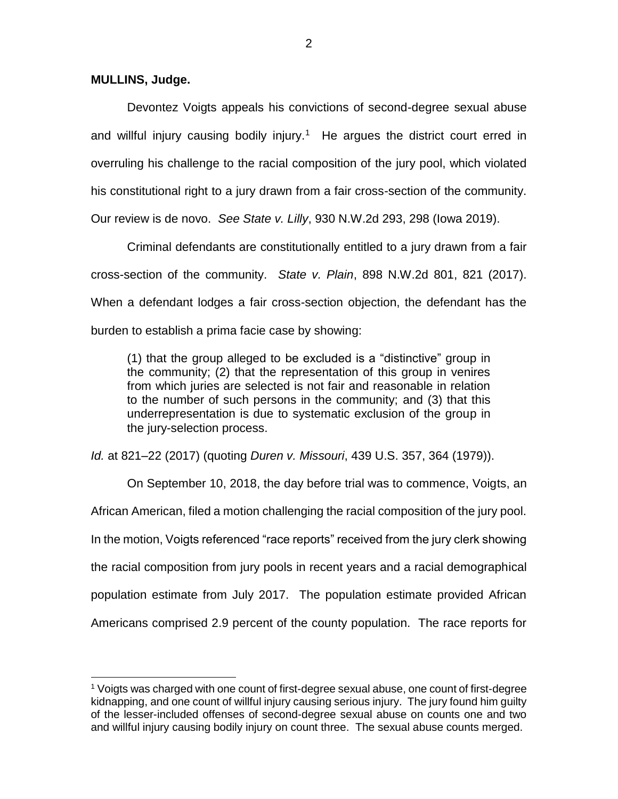## **MULLINS, Judge.**

 $\overline{a}$ 

Devontez Voigts appeals his convictions of second-degree sexual abuse and willful injury causing bodily injury.<sup>1</sup> He argues the district court erred in overruling his challenge to the racial composition of the jury pool, which violated his constitutional right to a jury drawn from a fair cross-section of the community.

Our review is de novo. *See State v. Lilly*, 930 N.W.2d 293, 298 (Iowa 2019).

Criminal defendants are constitutionally entitled to a jury drawn from a fair cross-section of the community. *State v. Plain*, 898 N.W.2d 801, 821 (2017). When a defendant lodges a fair cross-section objection, the defendant has the burden to establish a prima facie case by showing:

(1) that the group alleged to be excluded is a "distinctive" group in the community; (2) that the representation of this group in venires from which juries are selected is not fair and reasonable in relation to the number of such persons in the community; and (3) that this underrepresentation is due to systematic exclusion of the group in the jury-selection process.

*Id.* at 821–22 (2017) (quoting *Duren v. Missouri*, 439 U.S. 357, 364 (1979)).

On September 10, 2018, the day before trial was to commence, Voigts, an African American, filed a motion challenging the racial composition of the jury pool. In the motion, Voigts referenced "race reports" received from the jury clerk showing the racial composition from jury pools in recent years and a racial demographical population estimate from July 2017. The population estimate provided African Americans comprised 2.9 percent of the county population. The race reports for

 $1$  Voigts was charged with one count of first-degree sexual abuse, one count of first-degree kidnapping, and one count of willful injury causing serious injury. The jury found him guilty of the lesser-included offenses of second-degree sexual abuse on counts one and two and willful injury causing bodily injury on count three. The sexual abuse counts merged.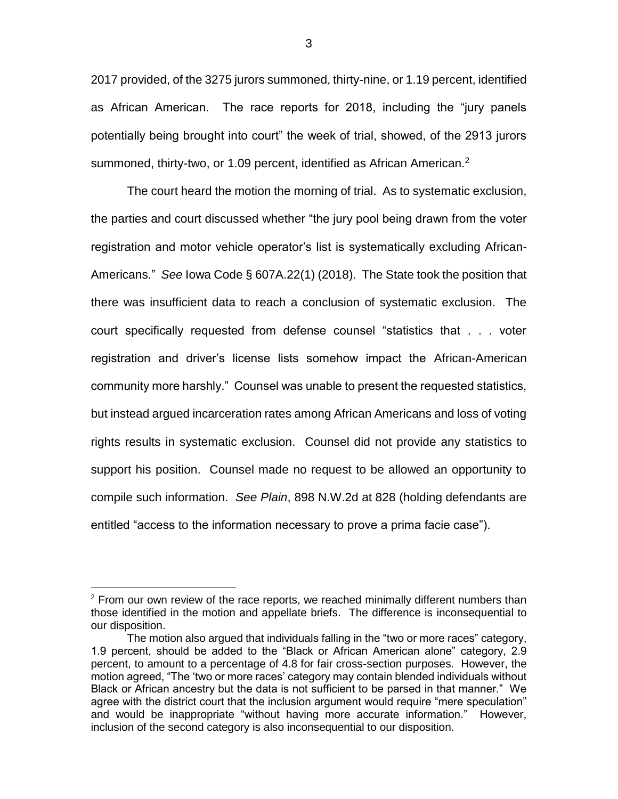2017 provided, of the 3275 jurors summoned, thirty-nine, or 1.19 percent, identified as African American. The race reports for 2018, including the "jury panels potentially being brought into court" the week of trial, showed, of the 2913 jurors summoned, thirty-two, or 1.09 percent, identified as African American.<sup>2</sup>

The court heard the motion the morning of trial. As to systematic exclusion, the parties and court discussed whether "the jury pool being drawn from the voter registration and motor vehicle operator's list is systematically excluding African-Americans." *See* Iowa Code § 607A.22(1) (2018). The State took the position that there was insufficient data to reach a conclusion of systematic exclusion. The court specifically requested from defense counsel "statistics that . . . voter registration and driver's license lists somehow impact the African-American community more harshly." Counsel was unable to present the requested statistics, but instead argued incarceration rates among African Americans and loss of voting rights results in systematic exclusion. Counsel did not provide any statistics to support his position. Counsel made no request to be allowed an opportunity to compile such information. *See Plain*, 898 N.W.2d at 828 (holding defendants are entitled "access to the information necessary to prove a prima facie case").

 $\overline{a}$ 

 $2$  From our own review of the race reports, we reached minimally different numbers than those identified in the motion and appellate briefs. The difference is inconsequential to our disposition.

The motion also argued that individuals falling in the "two or more races" category, 1.9 percent, should be added to the "Black or African American alone" category, 2.9 percent, to amount to a percentage of 4.8 for fair cross-section purposes. However, the motion agreed, "The 'two or more races' category may contain blended individuals without Black or African ancestry but the data is not sufficient to be parsed in that manner." We agree with the district court that the inclusion argument would require "mere speculation" and would be inappropriate "without having more accurate information." However, inclusion of the second category is also inconsequential to our disposition.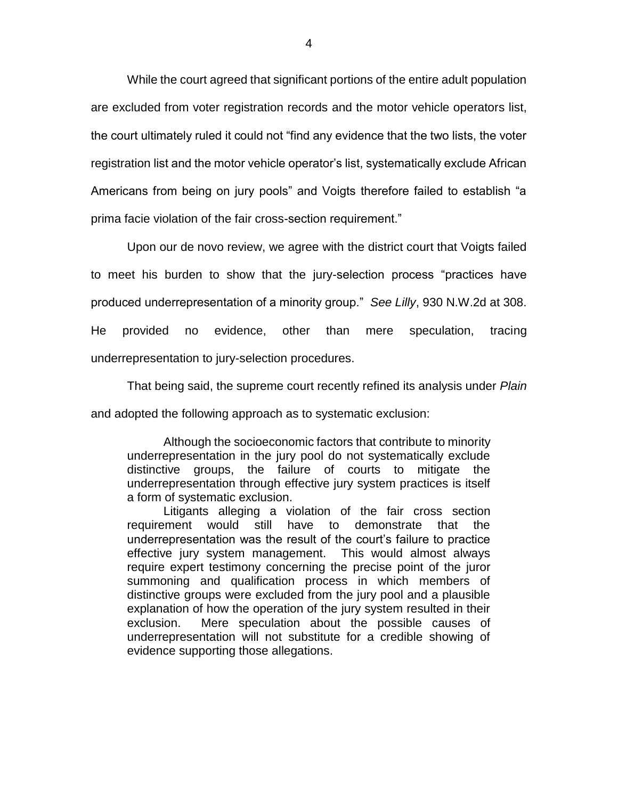While the court agreed that significant portions of the entire adult population are excluded from voter registration records and the motor vehicle operators list, the court ultimately ruled it could not "find any evidence that the two lists, the voter registration list and the motor vehicle operator's list, systematically exclude African Americans from being on jury pools" and Voigts therefore failed to establish "a prima facie violation of the fair cross-section requirement."

Upon our de novo review, we agree with the district court that Voigts failed to meet his burden to show that the jury-selection process "practices have produced underrepresentation of a minority group." *See Lilly*, 930 N.W.2d at 308. He provided no evidence, other than mere speculation, tracing underrepresentation to jury-selection procedures.

That being said, the supreme court recently refined its analysis under *Plain* and adopted the following approach as to systematic exclusion:

Although the socioeconomic factors that contribute to minority underrepresentation in the jury pool do not systematically exclude distinctive groups, the failure of courts to mitigate the underrepresentation through effective jury system practices is itself a form of systematic exclusion.

Litigants alleging a violation of the fair cross section requirement would still have to demonstrate that the underrepresentation was the result of the court's failure to practice effective jury system management. This would almost always require expert testimony concerning the precise point of the juror summoning and qualification process in which members of distinctive groups were excluded from the jury pool and a plausible explanation of how the operation of the jury system resulted in their exclusion. Mere speculation about the possible causes of underrepresentation will not substitute for a credible showing of evidence supporting those allegations.